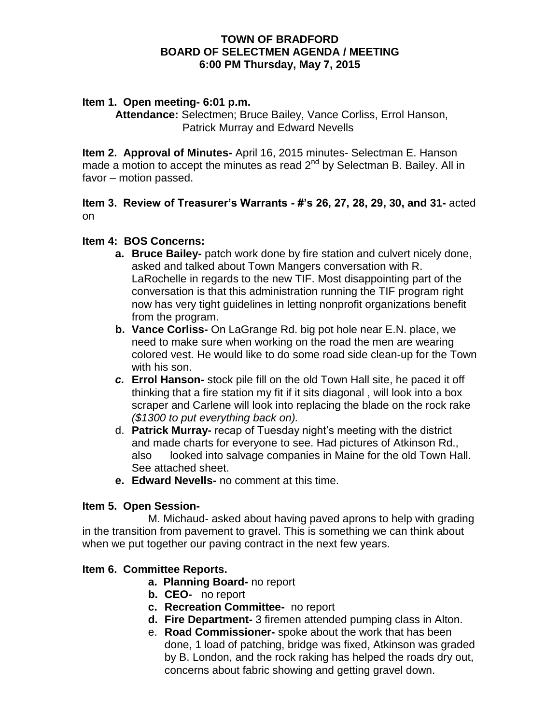## **TOWN OF BRADFORD BOARD OF SELECTMEN AGENDA / MEETING 6:00 PM Thursday, May 7, 2015**

### **Item 1. Open meeting- 6:01 p.m.**

**Attendance:** Selectmen; Bruce Bailey, Vance Corliss, Errol Hanson, Patrick Murray and Edward Nevells

**Item 2. Approval of Minutes-** April 16, 2015 minutes- Selectman E. Hanson made a motion to accept the minutes as read  $2^{nd}$  by Selectman B. Bailey. All in favor – motion passed.

# **Item 3. Review of Treasurer's Warrants - #'s 26, 27, 28, 29, 30, and 31-** acted on

# **Item 4: BOS Concerns:**

- **a. Bruce Bailey-** patch work done by fire station and culvert nicely done, asked and talked about Town Mangers conversation with R. LaRochelle in regards to the new TIF. Most disappointing part of the conversation is that this administration running the TIF program right now has very tight guidelines in letting nonprofit organizations benefit from the program.
- **b. Vance Corliss-** On LaGrange Rd. big pot hole near E.N. place, we need to make sure when working on the road the men are wearing colored vest. He would like to do some road side clean-up for the Town with his son.
- *c.* **Errol Hanson-** stock pile fill on the old Town Hall site, he paced it off thinking that a fire station my fit if it sits diagonal , will look into a box scraper and Carlene will look into replacing the blade on the rock rake *(\$1300 to put everything back on).*
- d. **Patrick Murray-** recap of Tuesday night's meeting with the district and made charts for everyone to see. Had pictures of Atkinson Rd., also looked into salvage companies in Maine for the old Town Hall. See attached sheet.
- **e. Edward Nevells-** no comment at this time.

### **Item 5. Open Session-**

M. Michaud- asked about having paved aprons to help with grading in the transition from pavement to gravel. This is something we can think about when we put together our paving contract in the next few years.

### **Item 6. Committee Reports.**

- **a. Planning Board-** no report
- **b. CEO-** no report
- **c. Recreation Committee-** no report
- **d. Fire Department-** 3 firemen attended pumping class in Alton.
- e. **Road Commissioner-** spoke about the work that has been done, 1 load of patching, bridge was fixed, Atkinson was graded by B. London, and the rock raking has helped the roads dry out, concerns about fabric showing and getting gravel down.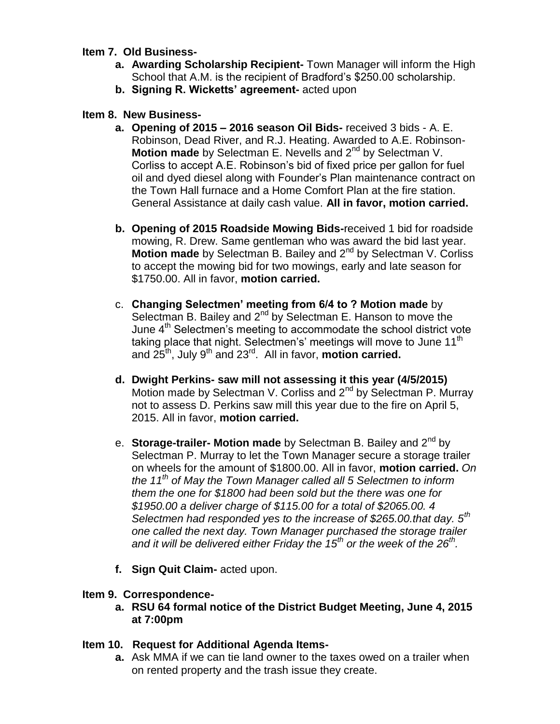# **Item 7. Old Business-**

- **a. Awarding Scholarship Recipient-** Town Manager will inform the High School that A.M. is the recipient of Bradford's \$250.00 scholarship.
- **b. Signing R. Wicketts' agreement-** acted upon

# **Item 8. New Business-**

- **a. Opening of 2015 – 2016 season Oil Bids-** received 3 bids A. E. Robinson, Dead River, and R.J. Heating. Awarded to A.E. Robinson-**Motion made** by Selectman E. Nevells and 2<sup>nd</sup> by Selectman V. Corliss to accept A.E. Robinson's bid of fixed price per gallon for fuel oil and dyed diesel along with Founder's Plan maintenance contract on the Town Hall furnace and a Home Comfort Plan at the fire station. General Assistance at daily cash value. **All in favor, motion carried.**
- **b. Opening of 2015 Roadside Mowing Bids-**received 1 bid for roadside mowing, R. Drew. Same gentleman who was award the bid last year. Motion made by Selectman B. Bailey and 2<sup>nd</sup> by Selectman V. Corliss to accept the mowing bid for two mowings, early and late season for \$1750.00. All in favor, **motion carried.**
- c. **Changing Selectmen' meeting from 6/4 to ? Motion made** by Selectman B. Bailey and 2<sup>nd</sup> by Selectman E. Hanson to move the June  $4<sup>th</sup>$  Selectmen's meeting to accommodate the school district vote taking place that night. Selectmen's' meetings will move to June 11<sup>th</sup> and 25<sup>th</sup>, July 9<sup>th</sup> and 23<sup>rd</sup>. All in favor, **motion carried.**
- **d. Dwight Perkins- saw mill not assessing it this year (4/5/2015)** Motion made by Selectman V. Corliss and  $2^{nd}$  by Selectman P. Murray not to assess D. Perkins saw mill this year due to the fire on April 5, 2015. All in favor, **motion carried.**
- e. **Storage-trailer- Motion made** by Selectman B. Bailey and 2nd by Selectman P. Murray to let the Town Manager secure a storage trailer on wheels for the amount of \$1800.00. All in favor, **motion carried.** *On the 11th of May the Town Manager called all 5 Selectmen to inform them the one for \$1800 had been sold but the there was one for \$1950.00 a deliver charge of \$115.00 for a total of \$2065.00. 4 Selectmen had responded yes to the increase of \$265.00.that day. 5th one called the next day. Town Manager purchased the storage trailer and it will be delivered either Friday the 15th or the week of the 26th .*
- **f. Sign Quit Claim-** acted upon.

# **Item 9. Correspondence-**

**a. RSU 64 formal notice of the District Budget Meeting, June 4, 2015 at 7:00pm**

# **Item 10. Request for Additional Agenda Items-**

**a.** Ask MMA if we can tie land owner to the taxes owed on a trailer when on rented property and the trash issue they create.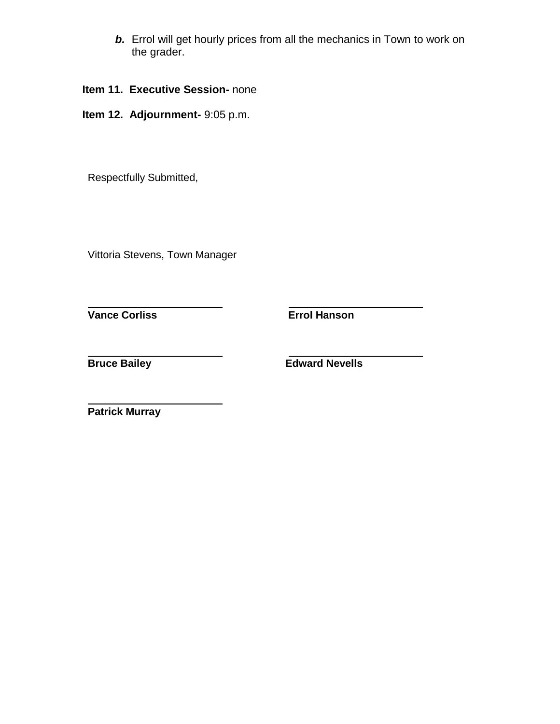- *b.* Errol will get hourly prices from all the mechanics in Town to work on the grader.
- **Item 11. Executive Session-** none
- **Item 12. Adjournment-** 9:05 p.m.

Respectfully Submitted,

Vittoria Stevens, Town Manager

**Vance Corliss Errol Hanson**

**Bruce Bailey Edward Nevells**

**Patrick Murray**